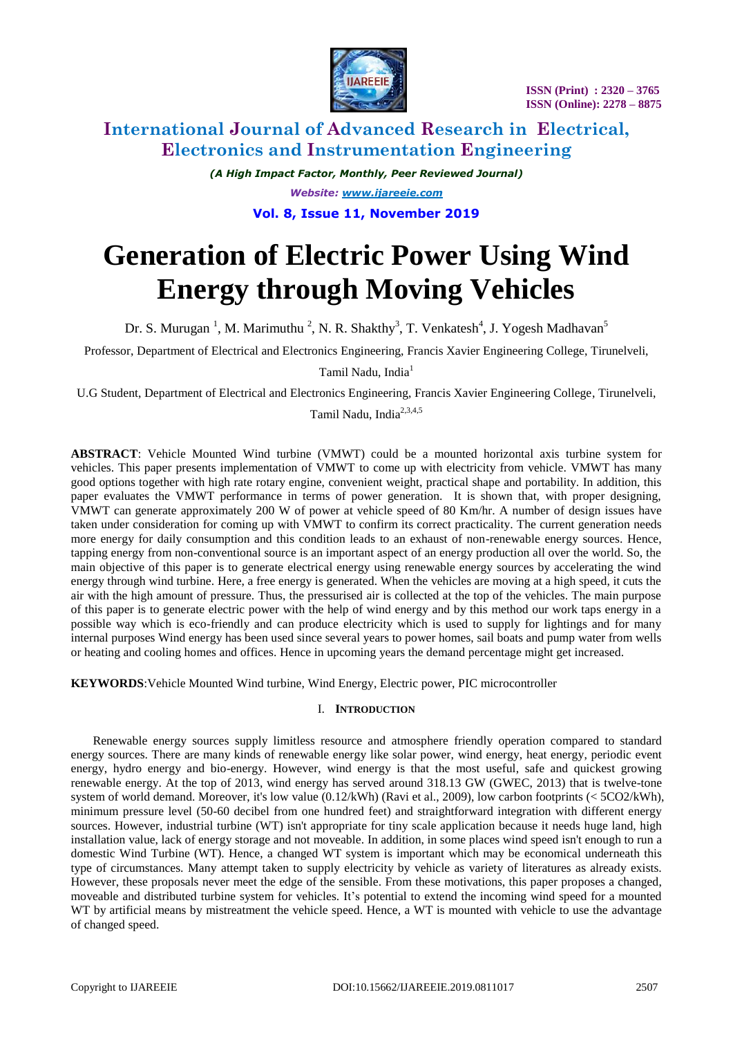

# **International Journal of Advanced Research in Electrical, Electronics and Instrumentation Engineering**

*(A High Impact Factor, Monthly, Peer Reviewed Journal) Website: [www.ijareeie.com](http://www.ijareeie.com/)* **Vol. 8, Issue 11, November 2019**

# **Generation of Electric Power Using Wind Energy through Moving Vehicles**

Dr. S. Murugan<sup>1</sup>, M. Marimuthu<sup>2</sup>, N. R. Shakthy<sup>3</sup>, T. Venkatesh<sup>4</sup>, J. Yogesh Madhavan<sup>5</sup>

Professor, Department of Electrical and Electronics Engineering, Francis Xavier Engineering College, Tirunelveli,

Tamil Nadu. India<sup>1</sup>

U.G Student, Department of Electrical and Electronics Engineering, Francis Xavier Engineering College, Tirunelveli,

Tamil Nadu, India2,3,4,5

**ABSTRACT**: Vehicle Mounted Wind turbine (VMWT) could be a mounted horizontal axis turbine system for vehicles. This paper presents implementation of VMWT to come up with electricity from vehicle. VMWT has many good options together with high rate rotary engine, convenient weight, practical shape and portability. In addition, this paper evaluates the VMWT performance in terms of power generation. It is shown that, with proper designing, VMWT can generate approximately 200 W of power at vehicle speed of 80 Km/hr. A number of design issues have taken under consideration for coming up with VMWT to confirm its correct practicality. The current generation needs more energy for daily consumption and this condition leads to an exhaust of non-renewable energy sources. Hence, tapping energy from non-conventional source is an important aspect of an energy production all over the world. So, the main objective of this paper is to generate electrical energy using renewable energy sources by accelerating the wind energy through wind turbine. Here, a free energy is generated. When the vehicles are moving at a high speed, it cuts the air with the high amount of pressure. Thus, the pressurised air is collected at the top of the vehicles. The main purpose of this paper is to generate electric power with the help of wind energy and by this method our work taps energy in a possible way which is eco-friendly and can produce electricity which is used to supply for lightings and for many internal purposes Wind energy has been used since several years to power homes, sail boats and pump water from wells or heating and cooling homes and offices. Hence in upcoming years the demand percentage might get increased.

**KEYWORDS**:Vehicle Mounted Wind turbine, Wind Energy, Electric power, PIC microcontroller

# I. **INTRODUCTION**

Renewable energy sources supply limitless resource and atmosphere friendly operation compared to standard energy sources. There are many kinds of renewable energy like solar power, wind energy, heat energy, periodic event energy, hydro energy and bio-energy. However, wind energy is that the most useful, safe and quickest growing renewable energy. At the top of 2013, wind energy has served around 318.13 GW (GWEC, 2013) that is twelve-tone system of world demand. Moreover, it's low value (0.12/kWh) (Ravi et al., 2009), low carbon footprints (< 5CO2/kWh), minimum pressure level (50-60 decibel from one hundred feet) and straightforward integration with different energy sources. However, industrial turbine (WT) isn't appropriate for tiny scale application because it needs huge land, high installation value, lack of energy storage and not moveable. In addition, in some places wind speed isn't enough to run a domestic Wind Turbine (WT). Hence, a changed WT system is important which may be economical underneath this type of circumstances. Many attempt taken to supply electricity by vehicle as variety of literatures as already exists. However, these proposals never meet the edge of the sensible. From these motivations, this paper proposes a changed, moveable and distributed turbine system for vehicles. It's potential to extend the incoming wind speed for a mounted WT by artificial means by mistreatment the vehicle speed. Hence, a WT is mounted with vehicle to use the advantage of changed speed.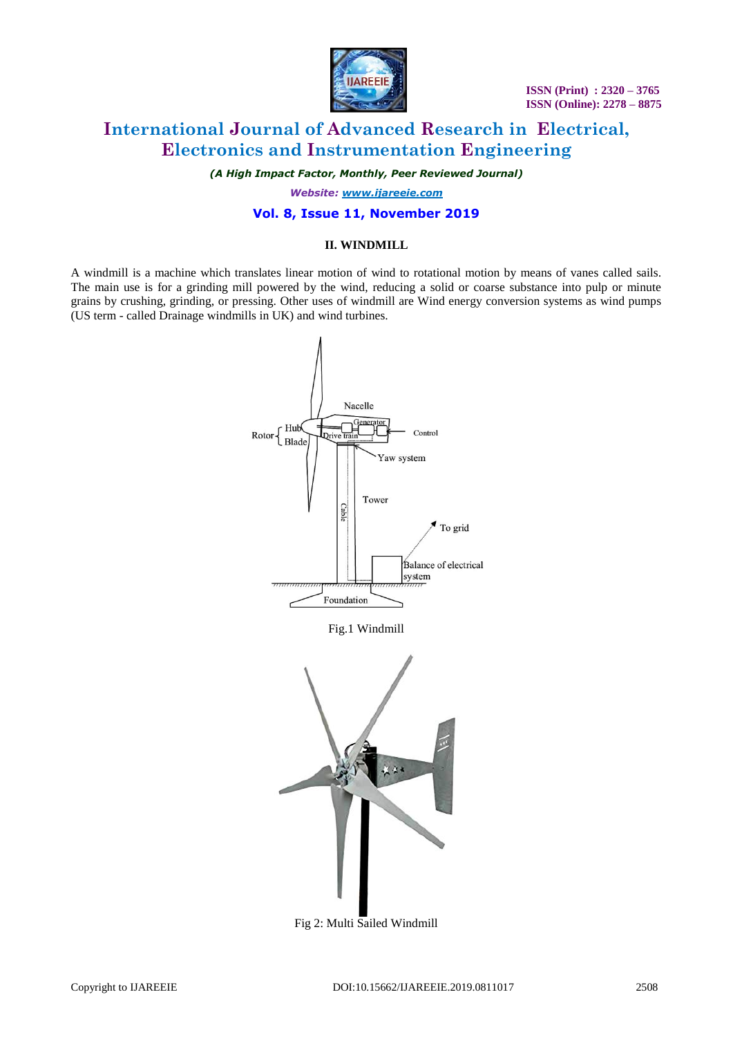

# **International Journal of Advanced Research in Electrical, Electronics and Instrumentation Engineering**

*(A High Impact Factor, Monthly, Peer Reviewed Journal)*

*Website: [www.ijareeie.com](http://www.ijareeie.com/)*

### **Vol. 8, Issue 11, November 2019**

#### **II. WINDMILL**

A windmill is a machine which translates linear motion of wind to rotational motion by means of vanes called sails. The main use is for a grinding mill powered by the wind, reducing a solid or coarse substance into pulp or minute grains by crushing, grinding, or pressing. Other uses of windmill are Wind energy conversion systems as wind pumps (US term - called Drainage windmills in UK) and wind turbines.



Fig 2: Multi Sailed Windmill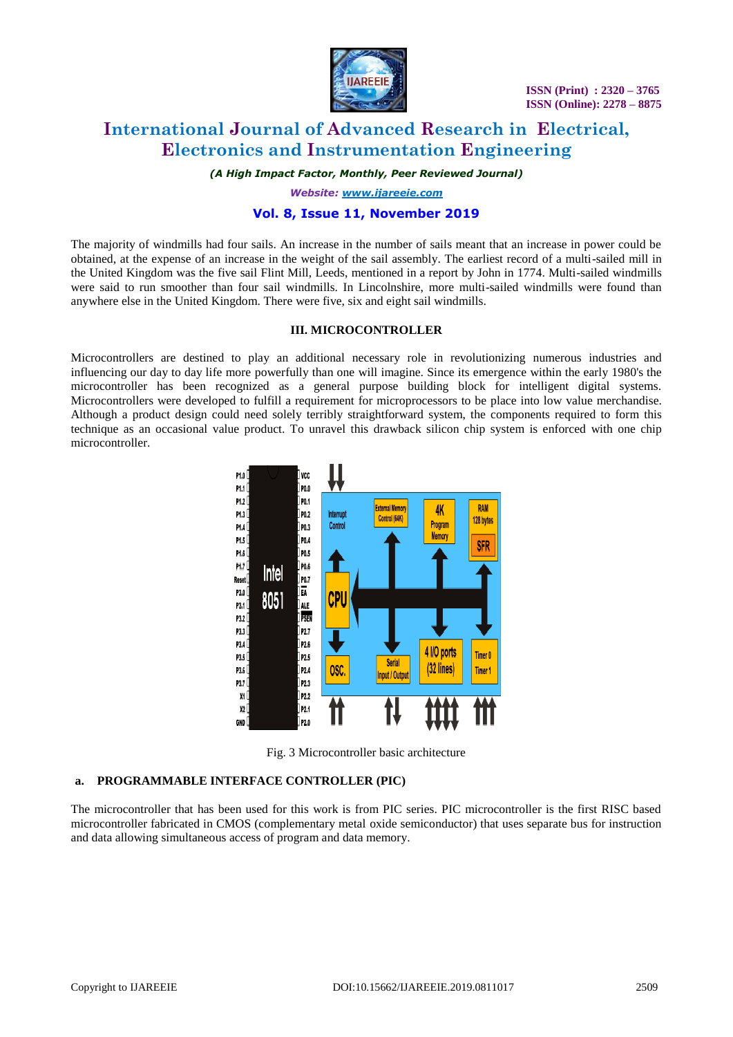

# **International Journal of Advanced Research in Electrical, Electronics and Instrumentation Engineering**

*(A High Impact Factor, Monthly, Peer Reviewed Journal)*

*Website: [www.ijareeie.com](http://www.ijareeie.com/)*

#### **Vol. 8, Issue 11, November 2019**

The majority of windmills had four sails. An increase in the number of sails meant that an increase in power could be obtained, at the expense of an increase in the weight of the sail assembly. The earliest record of a multi-sailed mill in the United Kingdom was the five sail Flint Mill, Leeds, mentioned in a report by John in 1774. Multi-sailed windmills were said to run smoother than four sail windmills. In Lincolnshire, more multi-sailed windmills were found than anywhere else in the United Kingdom. There were five, six and eight sail windmills.

#### **III. MICROCONTROLLER**

Microcontrollers are destined to play an additional necessary role in revolutionizing numerous industries and influencing our day to day life more powerfully than one will imagine. Since its emergence within the early 1980's the microcontroller has been recognized as a general purpose building block for intelligent digital systems. Microcontrollers were developed to fulfill a requirement for microprocessors to be place into low value merchandise. Although a product design could need solely terribly straightforward system, the components required to form this technique as an occasional value product. To unravel this drawback silicon chip system is enforced with one chip microcontroller.



Fig. 3 Microcontroller basic architecture

#### **a. PROGRAMMABLE INTERFACE CONTROLLER (PIC)**

The microcontroller that has been used for this work is from PIC series. PIC microcontroller is the first RISC based microcontroller fabricated in CMOS (complementary metal oxide semiconductor) that uses separate bus for instruction and data allowing simultaneous access of program and data memory.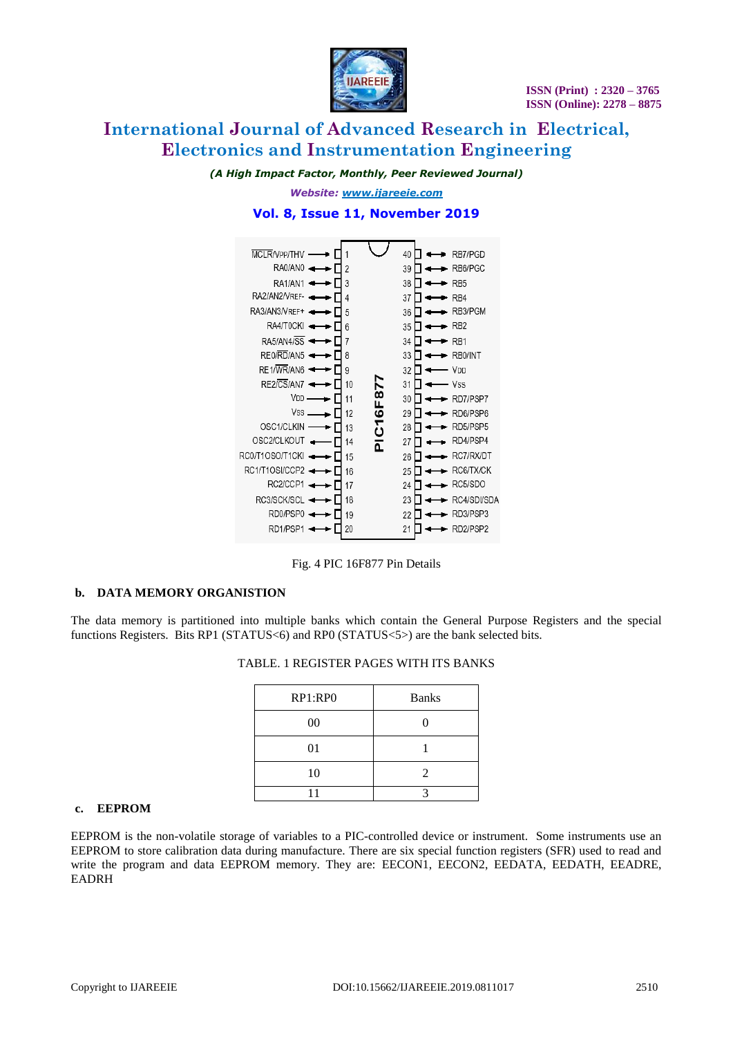

# **International Journal of Advanced Research in Electrical, Electronics and Instrumentation Engineering**

*(A High Impact Factor, Monthly, Peer Reviewed Journal)*

*Website: [www.ijareeie.com](http://www.ijareeie.com/)* **Vol. 8, Issue 11, November 2019**



Fig. 4 PIC 16F877 Pin Details

# **b. DATA MEMORY ORGANISTION**

The data memory is partitioned into multiple banks which contain the General Purpose Registers and the special functions Registers. Bits RP1 (STATUS<6) and RP0 (STATUS<5>) are the bank selected bits.

| RP1:RP0 | <b>Banks</b>          |  |
|---------|-----------------------|--|
| 00      |                       |  |
| 01      |                       |  |
| 10      | $\mathcal{D}_{\cdot}$ |  |
|         |                       |  |

# TABLE. 1 REGISTER PAGES WITH ITS BANKS

#### **c. EEPROM**

EEPROM is the non-volatile storage of variables to a PIC-controlled device or instrument. Some instruments use an EEPROM to store calibration data during manufacture. There are six special function registers (SFR) used to read and write the program and data EEPROM memory. They are: EECON1, EECON2, EEDATA, EEDATH, EEADRE, EADRH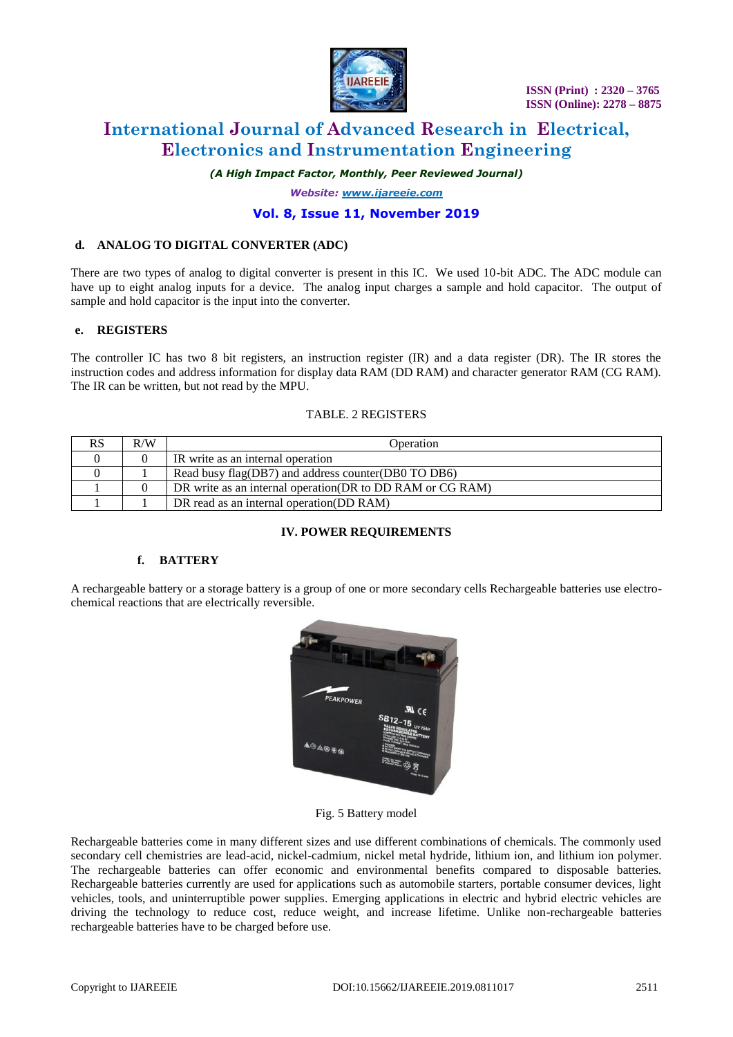

# **International Journal of Advanced Research in Electrical, Electronics and Instrumentation Engineering**

*(A High Impact Factor, Monthly, Peer Reviewed Journal)*

*Website: [www.ijareeie.com](http://www.ijareeie.com/)*

### **Vol. 8, Issue 11, November 2019**

#### **d. ANALOG TO DIGITAL CONVERTER (ADC)**

There are two types of analog to digital converter is present in this IC. We used 10-bit ADC. The ADC module can have up to eight analog inputs for a device. The analog input charges a sample and hold capacitor. The output of sample and hold capacitor is the input into the converter.

### **e. REGISTERS**

The controller IC has two 8 bit registers, an instruction register (IR) and a data register (DR). The IR stores the instruction codes and address information for display data RAM (DD RAM) and character generator RAM (CG RAM). The IR can be written, but not read by the MPU.

#### TABLE. 2 REGISTERS

| RS | R/W | Operation                                                  |
|----|-----|------------------------------------------------------------|
|    |     | IR write as an internal operation                          |
|    |     | Read busy flag(DB7) and address counter(DB0 TO DB6)        |
|    |     | DR write as an internal operation (DR to DD RAM or CG RAM) |
|    |     | DR read as an internal operation (DD RAM)                  |

#### **IV. POWER REQUIREMENTS**

#### **f. BATTERY**

A rechargeable battery or a storage battery is a group of one or more secondary cells Rechargeable batteries use electrochemical reactions that are electrically reversible.



Fig. 5 Battery model

Rechargeable batteries come in many different sizes and use different combinations of chemicals. The commonly used secondary cell chemistries are lead-acid, nickel-cadmium, nickel metal hydride, lithium ion, and lithium ion polymer. The rechargeable batteries can offer economic and environmental benefits compared to disposable batteries. Rechargeable batteries currently are used for applications such as automobile starters, portable consumer devices, light vehicles, tools, and uninterruptible power supplies. Emerging applications in electric and hybrid electric vehicles are driving the technology to reduce cost, reduce weight, and increase lifetime. Unlike non-rechargeable batteries rechargeable batteries have to be charged before use.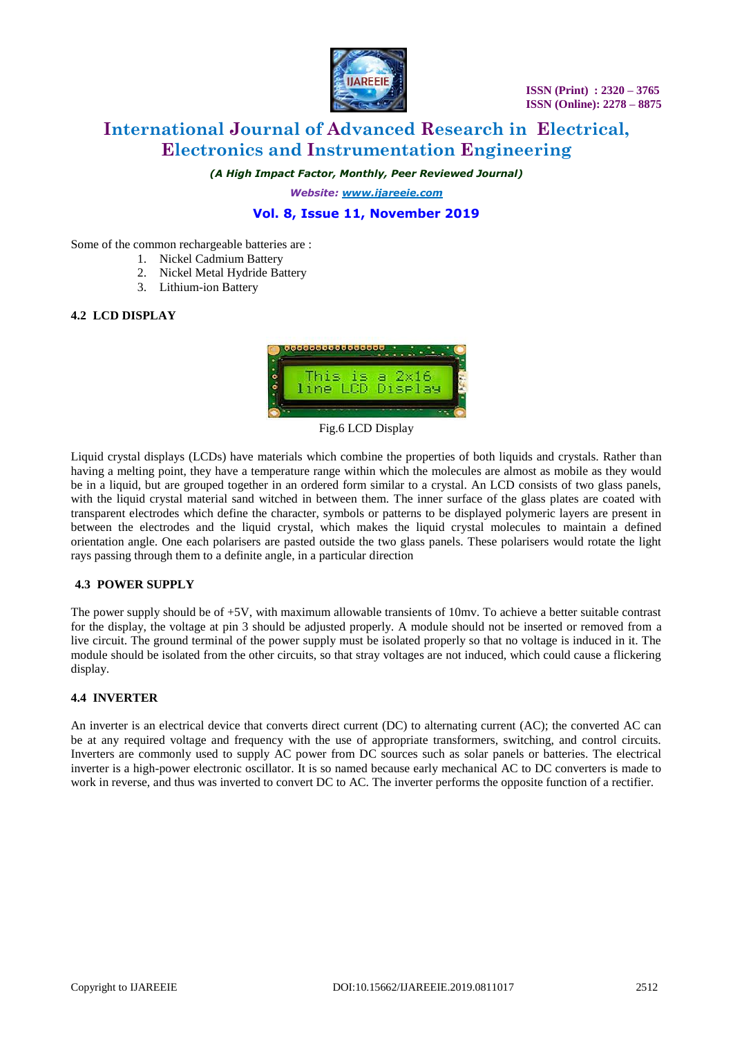

# **International Journal of Advanced Research in Electrical, Electronics and Instrumentation Engineering**

*(A High Impact Factor, Monthly, Peer Reviewed Journal)*

*Website: [www.ijareeie.com](http://www.ijareeie.com/)*

# **Vol. 8, Issue 11, November 2019**

Some of the common rechargeable batteries are :

- 1. Nickel Cadmium Battery
- 2. [Nickel](http://en.wikipedia.org/wiki/Nickel-metal_hydride_battery) Metal Hydride Battery
- 3. [Lithium-ion Battery](http://en.wikipedia.org/wiki/Lithium-ion_battery)

### **4.2 LCD DISPLAY**



Fig.6 LCD Display

Liquid crystal displays (LCDs) have materials which combine the properties of both liquids and crystals. Rather than having a melting point, they have a temperature range within which the molecules are almost as mobile as they would be in a liquid, but are grouped together in an ordered form similar to a crystal. An LCD consists of two glass panels, with the liquid crystal material sand witched in between them. The inner surface of the glass plates are coated with transparent electrodes which define the character, symbols or patterns to be displayed polymeric layers are present in between the electrodes and the liquid crystal, which makes the liquid crystal molecules to maintain a defined orientation angle. One each polarisers are pasted outside the two glass panels. These polarisers would rotate the light rays passing through them to a definite angle, in a particular direction

# **4.3 POWER SUPPLY**

The power supply should be of +5V, with maximum allowable transients of 10mv. To achieve a better suitable contrast for the display, the voltage at pin 3 should be adjusted properly. A module should not be inserted or removed from a live circuit. The ground terminal of the power supply must be isolated properly so that no voltage is induced in it. The module should be isolated from the other circuits, so that stray voltages are not induced, which could cause a flickering display.

#### **4.4 INVERTER**

An inverter is an electrical device that converts direct current (DC) to alternating current (AC); the converted AC can be at any required voltage and frequency with the use of appropriate transformers, switching, and control circuits. Inverters are commonly used to supply AC power from DC sources such as solar panels or batteries. The electrical inverter is a high-power electronic oscillator. It is so named because early mechanical AC to DC converters is made to work in reverse, and thus was inverted to convert DC to AC. The inverter performs the opposite function of a rectifier.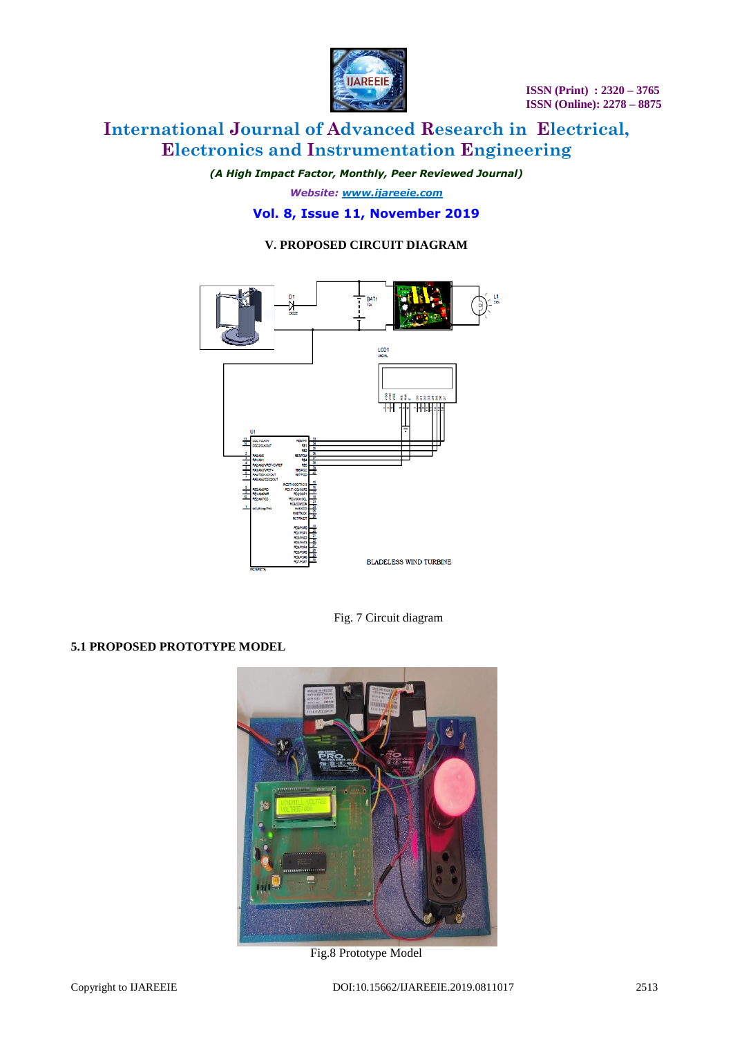

# **International Journal of Advanced Research in Electrical, Electronics and Instrumentation Engineering**

*(A High Impact Factor, Monthly, Peer Reviewed Journal)*

*Website: [www.ijareeie.com](http://www.ijareeie.com/)* **Vol. 8, Issue 11, November 2019**

# **V. PROPOSED CIRCUIT DIAGRAM**



Fig. 7 Circuit diagram

# **5.1 PROPOSED PROTOTYPE MODEL**



Fig.8 Prototype Model